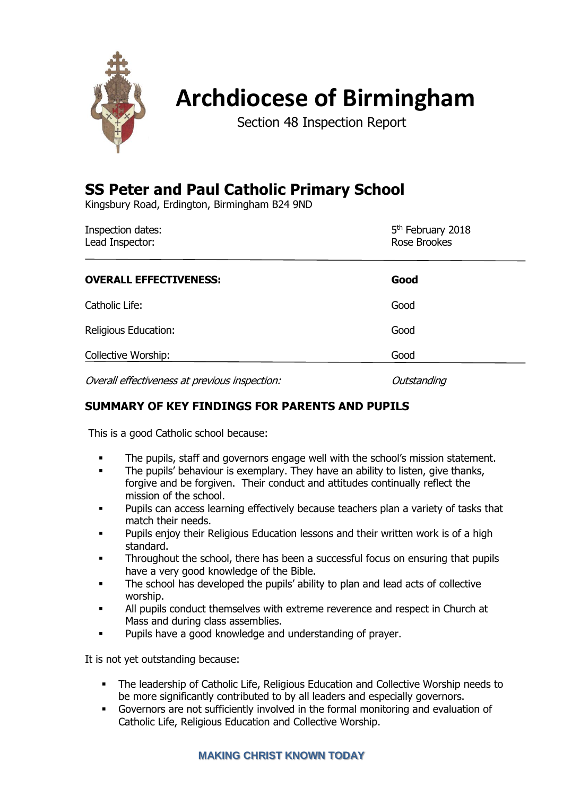

# **Archdiocese of Birmingham**

Section 48 Inspection Report

## **SS Peter and Paul Catholic Primary School**

Kingsbury Road, Erdington, Birmingham B24 9ND

| Inspection dates:<br>Lead Inspector:          | 5 <sup>th</sup> February 2018<br>Rose Brookes |  |
|-----------------------------------------------|-----------------------------------------------|--|
| <b>OVERALL EFFECTIVENESS:</b>                 | Good                                          |  |
| Catholic Life:                                | Good                                          |  |
| Religious Education:                          | Good                                          |  |
| Collective Worship:                           | Good                                          |  |
| Overall effectiveness at previous inspection: | Outstanding                                   |  |

## **SUMMARY OF KEY FINDINGS FOR PARENTS AND PUPILS**

This is a good Catholic school because:

- The pupils, staff and governors engage well with the school's mission statement.
- **EXEDENT** The pupils' behaviour is exemplary. They have an ability to listen, give thanks, forgive and be forgiven. Their conduct and attitudes continually reflect the mission of the school.
- Pupils can access learning effectively because teachers plan a variety of tasks that match their needs.
- Pupils enjoy their Religious Education lessons and their written work is of a high standard.
- Throughout the school, there has been a successful focus on ensuring that pupils have a very good knowledge of the Bible.
- The school has developed the pupils' ability to plan and lead acts of collective worship.
- All pupils conduct themselves with extreme reverence and respect in Church at Mass and during class assemblies.
- Pupils have a good knowledge and understanding of prayer.

It is not yet outstanding because:

- The leadership of Catholic Life, Religious Education and Collective Worship needs to be more significantly contributed to by all leaders and especially governors.
- Governors are not sufficiently involved in the formal monitoring and evaluation of Catholic Life, Religious Education and Collective Worship.

## **MAKING CHRIST KNOWN TODAY**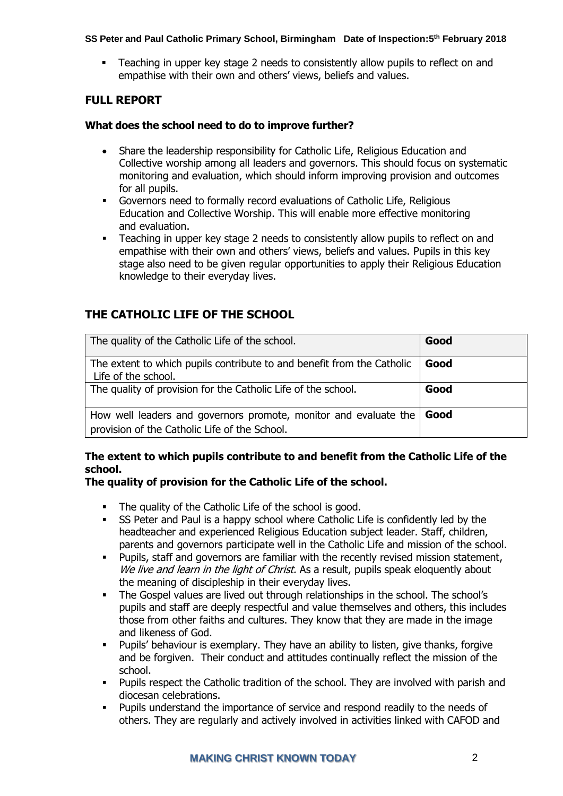▪ Teaching in upper key stage 2 needs to consistently allow pupils to reflect on and empathise with their own and others' views, beliefs and values.

## **FULL REPORT**

#### **What does the school need to do to improve further?**

- Share the leadership responsibility for Catholic Life, Religious Education and Collective worship among all leaders and governors. This should focus on systematic monitoring and evaluation, which should inform improving provision and outcomes for all pupils.
- Governors need to formally record evaluations of Catholic Life, Religious Education and Collective Worship. This will enable more effective monitoring and evaluation.
- Teaching in upper key stage 2 needs to consistently allow pupils to reflect on and empathise with their own and others' views, beliefs and values. Pupils in this key stage also need to be given regular opportunities to apply their Religious Education knowledge to their everyday lives.

## **THE CATHOLIC LIFE OF THE SCHOOL**

| The quality of the Catholic Life of the school.                                                                   | Good |
|-------------------------------------------------------------------------------------------------------------------|------|
| The extent to which pupils contribute to and benefit from the Catholic<br>Life of the school.                     | Good |
| The quality of provision for the Catholic Life of the school.                                                     | Good |
| How well leaders and governors promote, monitor and evaluate the<br>provision of the Catholic Life of the School. | Good |

## **The extent to which pupils contribute to and benefit from the Catholic Life of the school.**

## **The quality of provision for the Catholic Life of the school.**

- The quality of the Catholic Life of the school is good.
- **•** SS Peter and Paul is a happy school where Catholic Life is confidently led by the headteacher and experienced Religious Education subject leader. Staff, children, parents and governors participate well in the Catholic Life and mission of the school.
- Pupils, staff and governors are familiar with the recently revised mission statement, We live and learn in the light of Christ. As a result, pupils speak eloquently about the meaning of discipleship in their everyday lives.
- The Gospel values are lived out through relationships in the school. The school's pupils and staff are deeply respectful and value themselves and others, this includes those from other faiths and cultures. They know that they are made in the image and likeness of God.
- Pupils' behaviour is exemplary. They have an ability to listen, give thanks, forgive and be forgiven. Their conduct and attitudes continually reflect the mission of the school.
- Pupils respect the Catholic tradition of the school. They are involved with parish and diocesan celebrations.
- Pupils understand the importance of service and respond readily to the needs of others. They are regularly and actively involved in activities linked with CAFOD and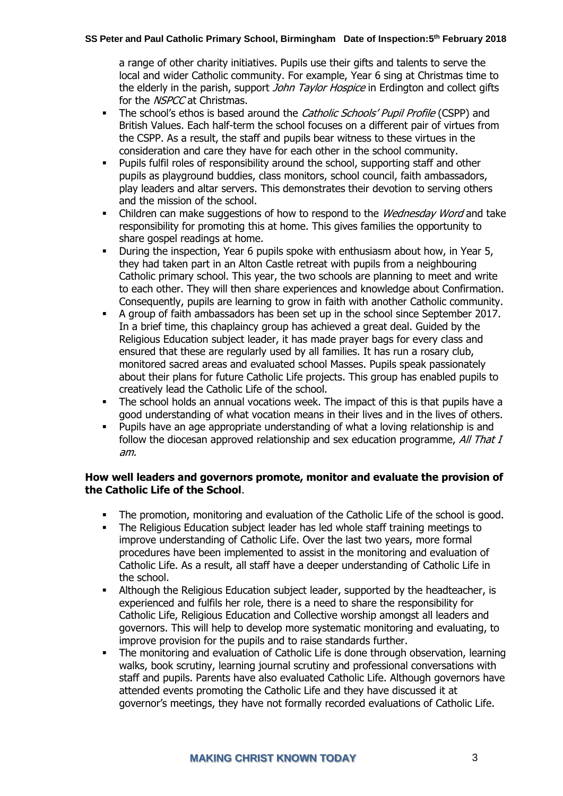a range of other charity initiatives. Pupils use their gifts and talents to serve the local and wider Catholic community. For example, Year 6 sing at Christmas time to the elderly in the parish, support *John Taylor Hospice* in Erdington and collect gifts for the NSPCC at Christmas.

- **The school's ethos is based around the Catholic Schools' Pupil Profile (CSPP) and** British Values. Each half-term the school focuses on a different pair of virtues from the CSPP. As a result, the staff and pupils bear witness to these virtues in the consideration and care they have for each other in the school community.
- Pupils fulfil roles of responsibility around the school, supporting staff and other pupils as playground buddies, class monitors, school council, faith ambassadors, play leaders and altar servers. This demonstrates their devotion to serving others and the mission of the school.
- Children can make suggestions of how to respond to the *Wednesday Word* and take responsibility for promoting this at home. This gives families the opportunity to share gospel readings at home.
- During the inspection, Year 6 pupils spoke with enthusiasm about how, in Year 5, they had taken part in an Alton Castle retreat with pupils from a neighbouring Catholic primary school. This year, the two schools are planning to meet and write to each other. They will then share experiences and knowledge about Confirmation. Consequently, pupils are learning to grow in faith with another Catholic community.
- A group of faith ambassadors has been set up in the school since September 2017. In a brief time, this chaplaincy group has achieved a great deal. Guided by the Religious Education subject leader, it has made prayer bags for every class and ensured that these are regularly used by all families. It has run a rosary club, monitored sacred areas and evaluated school Masses. Pupils speak passionately about their plans for future Catholic Life projects. This group has enabled pupils to creatively lead the Catholic Life of the school.
- The school holds an annual vocations week. The impact of this is that pupils have a good understanding of what vocation means in their lives and in the lives of others.
- Pupils have an age appropriate understanding of what a loving relationship is and follow the diocesan approved relationship and sex education programme, All That I am.

#### **How well leaders and governors promote, monitor and evaluate the provision of the Catholic Life of the School**.

- The promotion, monitoring and evaluation of the Catholic Life of the school is good.
- The Religious Education subject leader has led whole staff training meetings to improve understanding of Catholic Life. Over the last two years, more formal procedures have been implemented to assist in the monitoring and evaluation of Catholic Life. As a result, all staff have a deeper understanding of Catholic Life in the school.
- Although the Religious Education subject leader, supported by the headteacher, is experienced and fulfils her role, there is a need to share the responsibility for Catholic Life, Religious Education and Collective worship amongst all leaders and governors. This will help to develop more systematic monitoring and evaluating, to improve provision for the pupils and to raise standards further.
- The monitoring and evaluation of Catholic Life is done through observation, learning walks, book scrutiny, learning journal scrutiny and professional conversations with staff and pupils. Parents have also evaluated Catholic Life. Although governors have attended events promoting the Catholic Life and they have discussed it at governor's meetings, they have not formally recorded evaluations of Catholic Life.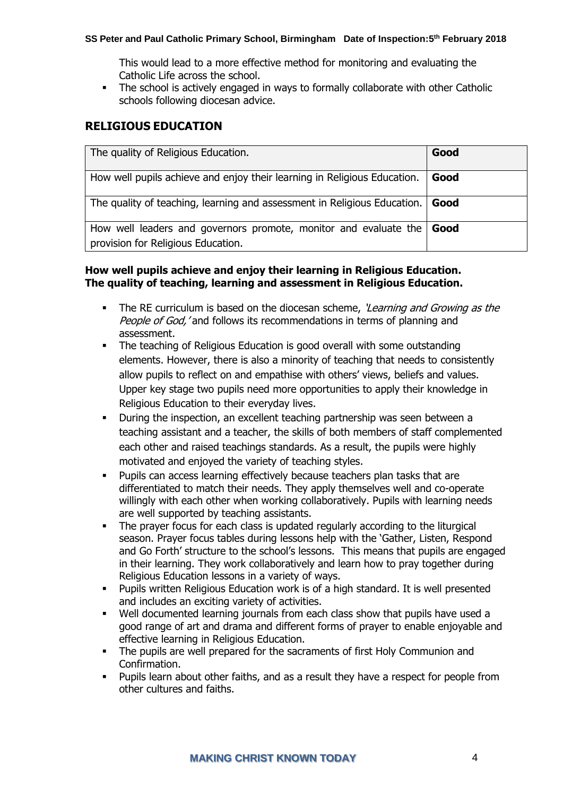This would lead to a more effective method for monitoring and evaluating the Catholic Life across the school.

**•** The school is actively engaged in ways to formally collaborate with other Catholic schools following diocesan advice.

## **RELIGIOUS EDUCATION**

| The quality of Religious Education.                                                                    | Good |
|--------------------------------------------------------------------------------------------------------|------|
| How well pupils achieve and enjoy their learning in Religious Education.                               | Good |
| The quality of teaching, learning and assessment in Religious Education.                               | Good |
| How well leaders and governors promote, monitor and evaluate the<br>provision for Religious Education. | Good |

#### **How well pupils achieve and enjoy their learning in Religious Education. The quality of teaching, learning and assessment in Religious Education.**

- **•** The RE curriculum is based on the diocesan scheme, *'Learning and Growing as the* People of God, ' and follows its recommendations in terms of planning and assessment.
- **•** The teaching of Religious Education is good overall with some outstanding elements. However, there is also a minority of teaching that needs to consistently allow pupils to reflect on and empathise with others' views, beliefs and values. Upper key stage two pupils need more opportunities to apply their knowledge in Religious Education to their everyday lives.
- During the inspection, an excellent teaching partnership was seen between a teaching assistant and a teacher, the skills of both members of staff complemented each other and raised teachings standards. As a result, the pupils were highly motivated and enjoyed the variety of teaching styles.
- Pupils can access learning effectively because teachers plan tasks that are differentiated to match their needs. They apply themselves well and co-operate willingly with each other when working collaboratively. Pupils with learning needs are well supported by teaching assistants.
- The prayer focus for each class is updated regularly according to the liturgical season. Prayer focus tables during lessons help with the 'Gather, Listen, Respond and Go Forth' structure to the school's lessons. This means that pupils are engaged in their learning. They work collaboratively and learn how to pray together during Religious Education lessons in a variety of ways.
- Pupils written Religious Education work is of a high standard. It is well presented and includes an exciting variety of activities.
- Well documented learning journals from each class show that pupils have used a good range of art and drama and different forms of prayer to enable enjoyable and effective learning in Religious Education.
- The pupils are well prepared for the sacraments of first Holy Communion and Confirmation.
- Pupils learn about other faiths, and as a result they have a respect for people from other cultures and faiths.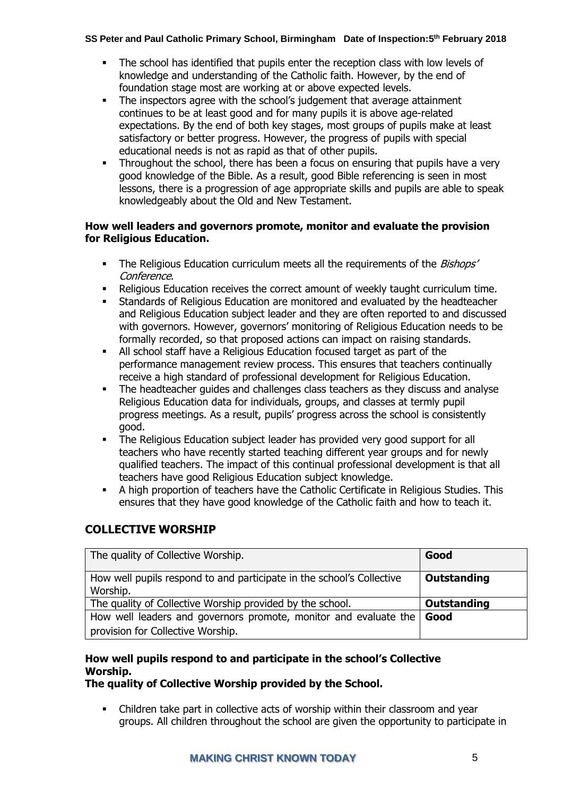- The school has identified that pupils enter the reception class with low levels of knowledge and understanding of the Catholic faith. However, by the end of foundation stage most are working at or above expected levels.
- The inspectors agree with the school's judgement that average attainment continues to be at least good and for many pupils it is above age-related expectations. By the end of both key stages, most groups of pupils make at least satisfactory or better progress. However, the progress of pupils with special educational needs is not as rapid as that of other pupils.
- **•** Throughout the school, there has been a focus on ensuring that pupils have a very good knowledge of the Bible. As a result, good Bible referencing is seen in most lessons, there is a progression of age appropriate skills and pupils are able to speak knowledgeably about the Old and New Testament.

#### **How well leaders and governors promote, monitor and evaluate the provision for Religious Education.**

- The Religious Education curriculum meets all the requirements of the *Bishops'* Conference.
- Religious Education receives the correct amount of weekly taught curriculum time.
- **EXECT** Standards of Religious Education are monitored and evaluated by the headteacher and Religious Education subject leader and they are often reported to and discussed with governors. However, governors' monitoring of Religious Education needs to be formally recorded, so that proposed actions can impact on raising standards.
- All school staff have a Religious Education focused target as part of the performance management review process. This ensures that teachers continually receive a high standard of professional development for Religious Education.
- **•** The headteacher guides and challenges class teachers as they discuss and analyse Religious Education data for individuals, groups, and classes at termly pupil progress meetings. As a result, pupils' progress across the school is consistently good.
- **•** The Religious Education subject leader has provided very good support for all teachers who have recently started teaching different year groups and for newly qualified teachers. The impact of this continual professional development is that all teachers have good Religious Education subject knowledge.
- A high proportion of teachers have the Catholic Certificate in Religious Studies. This ensures that they have good knowledge of the Catholic faith and how to teach it.

## **COLLECTIVE WORSHIP**

| The quality of Collective Worship.                                                | Good        |
|-----------------------------------------------------------------------------------|-------------|
| How well pupils respond to and participate in the school's Collective<br>Worship. | Outstanding |
| The quality of Collective Worship provided by the school.                         | Outstanding |
| How well leaders and governors promote, monitor and evaluate the                  | <b>Good</b> |
| provision for Collective Worship.                                                 |             |

## **How well pupils respond to and participate in the school's Collective Worship.**

**The quality of Collective Worship provided by the School.**

▪ Children take part in collective acts of worship within their classroom and year groups. All children throughout the school are given the opportunity to participate in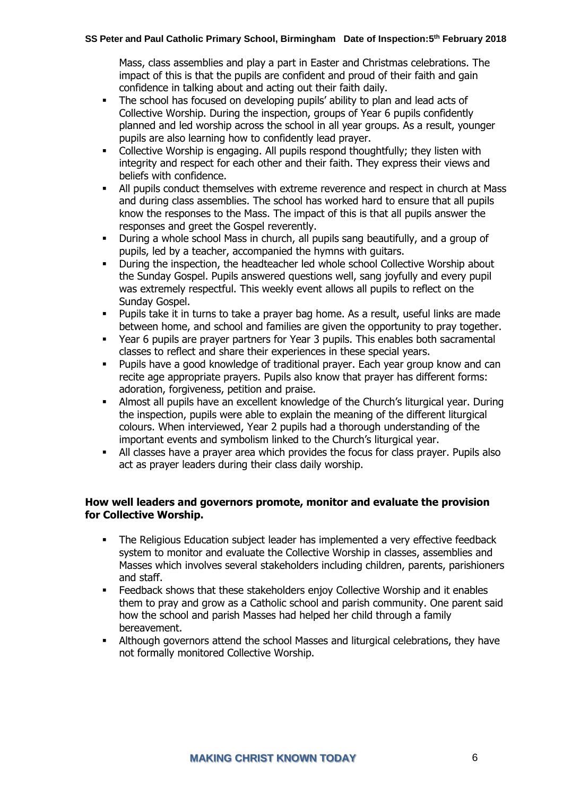Mass, class assemblies and play a part in Easter and Christmas celebrations. The impact of this is that the pupils are confident and proud of their faith and gain confidence in talking about and acting out their faith daily.

- The school has focused on developing pupils' ability to plan and lead acts of Collective Worship. During the inspection, groups of Year 6 pupils confidently planned and led worship across the school in all year groups. As a result, younger pupils are also learning how to confidently lead prayer.
- Collective Worship is engaging. All pupils respond thoughtfully; they listen with integrity and respect for each other and their faith. They express their views and beliefs with confidence.
- All pupils conduct themselves with extreme reverence and respect in church at Mass and during class assemblies. The school has worked hard to ensure that all pupils know the responses to the Mass. The impact of this is that all pupils answer the responses and greet the Gospel reverently.
- During a whole school Mass in church, all pupils sang beautifully, and a group of pupils, led by a teacher, accompanied the hymns with guitars.
- **•** During the inspection, the headteacher led whole school Collective Worship about the Sunday Gospel. Pupils answered questions well, sang joyfully and every pupil was extremely respectful. This weekly event allows all pupils to reflect on the Sunday Gospel.
- Pupils take it in turns to take a prayer bag home. As a result, useful links are made between home, and school and families are given the opportunity to pray together.
- Year 6 pupils are prayer partners for Year 3 pupils. This enables both sacramental classes to reflect and share their experiences in these special years.
- Pupils have a good knowledge of traditional prayer. Each year group know and can recite age appropriate prayers. Pupils also know that prayer has different forms: adoration, forgiveness, petition and praise.
- **■** Almost all pupils have an excellent knowledge of the Church's liturgical year. During the inspection, pupils were able to explain the meaning of the different liturgical colours. When interviewed, Year 2 pupils had a thorough understanding of the important events and symbolism linked to the Church's liturgical year.
- **E** All classes have a prayer area which provides the focus for class prayer. Pupils also act as prayer leaders during their class daily worship.

#### **How well leaders and governors promote, monitor and evaluate the provision for Collective Worship.**

- The Religious Education subject leader has implemented a very effective feedback system to monitor and evaluate the Collective Worship in classes, assemblies and Masses which involves several stakeholders including children, parents, parishioners and staff.
- **E** Feedback shows that these stakeholders enjoy Collective Worship and it enables them to pray and grow as a Catholic school and parish community. One parent said how the school and parish Masses had helped her child through a family bereavement.
- Although governors attend the school Masses and liturgical celebrations, they have not formally monitored Collective Worship.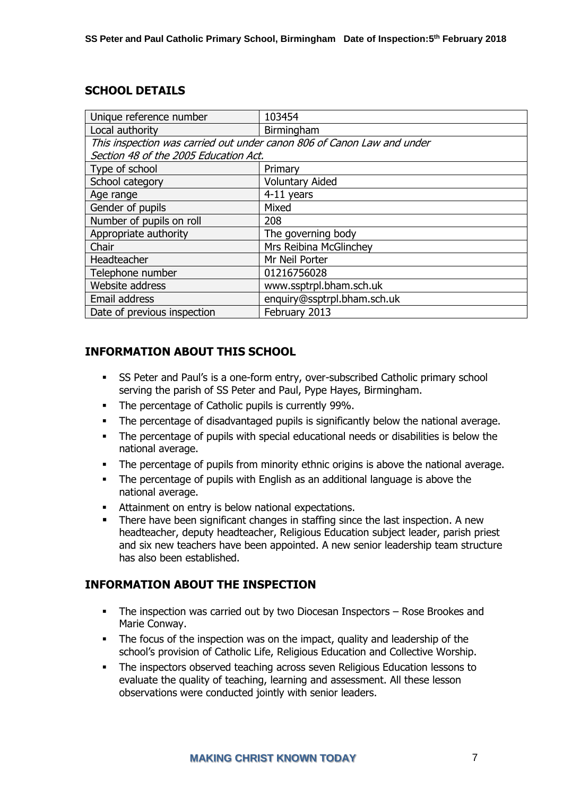## **SCHOOL DETAILS**

| Unique reference number                                                | 103454                      |  |
|------------------------------------------------------------------------|-----------------------------|--|
| Local authority                                                        | Birmingham                  |  |
| This inspection was carried out under canon 806 of Canon Law and under |                             |  |
| Section 48 of the 2005 Education Act.                                  |                             |  |
| Type of school                                                         | Primary                     |  |
| School category                                                        | <b>Voluntary Aided</b>      |  |
| Age range                                                              | 4-11 years                  |  |
| Gender of pupils                                                       | Mixed                       |  |
| Number of pupils on roll                                               | 208                         |  |
| Appropriate authority                                                  | The governing body          |  |
| Chair                                                                  | Mrs Reibina McGlinchey      |  |
| Headteacher                                                            | Mr Neil Porter              |  |
| Telephone number                                                       | 01216756028                 |  |
| Website address                                                        | www.ssptrpl.bham.sch.uk     |  |
| Email address                                                          | enquiry@ssptrpl.bham.sch.uk |  |
| Date of previous inspection                                            | February 2013               |  |

## **INFORMATION ABOUT THIS SCHOOL**

- **SS Peter and Paul's is a one-form entry, over-subscribed Catholic primary school** serving the parish of SS Peter and Paul, Pype Hayes, Birmingham.
- The percentage of Catholic pupils is currently 99%.
- The percentage of disadvantaged pupils is significantly below the national average.
- The percentage of pupils with special educational needs or disabilities is below the national average.
- The percentage of pupils from minority ethnic origins is above the national average.
- The percentage of pupils with English as an additional language is above the national average.
- Attainment on entry is below national expectations.
- There have been significant changes in staffing since the last inspection. A new headteacher, deputy headteacher, Religious Education subject leader, parish priest and six new teachers have been appointed. A new senior leadership team structure has also been established.

## **INFORMATION ABOUT THE INSPECTION**

- **•** The inspection was carried out by two Diocesan Inspectors Rose Brookes and Marie Conway.
- The focus of the inspection was on the impact, quality and leadership of the school's provision of Catholic Life, Religious Education and Collective Worship.
- The inspectors observed teaching across seven Religious Education lessons to evaluate the quality of teaching, learning and assessment. All these lesson observations were conducted jointly with senior leaders.